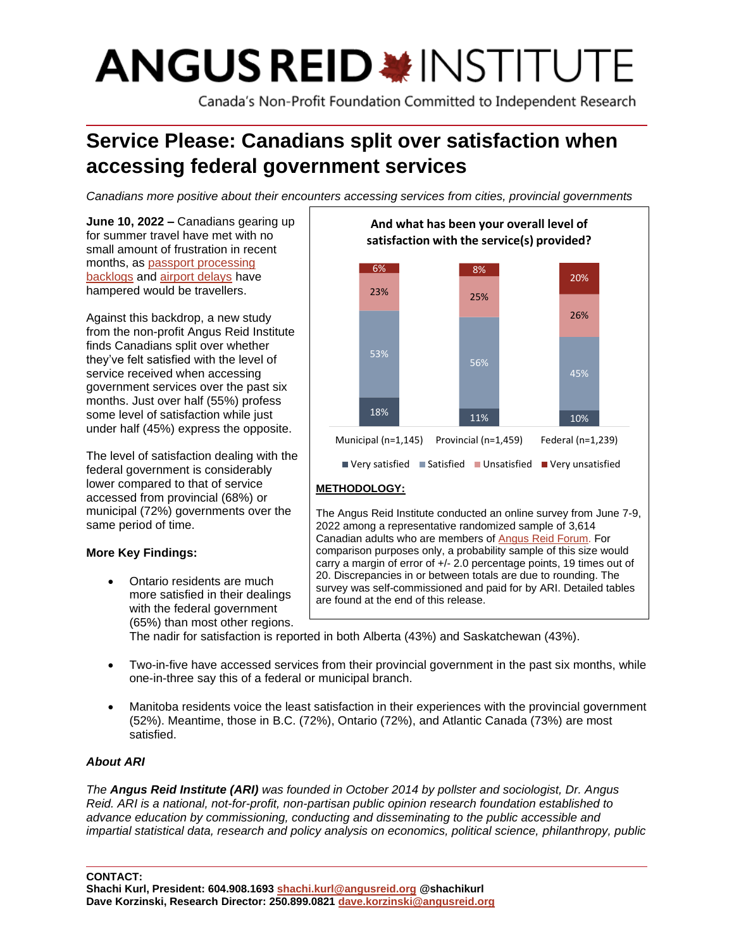# **ANGUS REID \* INSTITUTE**

Canada's Non-Profit Foundation Committed to Independent Research

# **Service Please: Canadians split over satisfaction when accessing federal government services**

*Canadians more positive about their encounters accessing services from cities, provincial governments* 

**June 10, 2022 –** Canadians gearing up for summer travel have met with no small amount of frustration in recent months, as [passport processing](https://www.ctvnews.ca/canada/passport-backlog-has-some-worrying-about-ruined-summer-travel-plans-1.5939441)  [backlogs](https://www.ctvnews.ca/canada/passport-backlog-has-some-worrying-about-ruined-summer-travel-plans-1.5939441) and [airport delays](https://www.narcity.com/feds-say-travellers-are-partly-to-blame-for-huge-delays-at-canadas-airports) have hampered would be travellers.

Against this backdrop, a new study from the non-profit Angus Reid Institute finds Canadians split over whether they've felt satisfied with the level of service received when accessing government services over the past six months. Just over half (55%) profess some level of satisfaction while just under half (45%) express the opposite.

The level of satisfaction dealing with the federal government is considerably lower compared to that of service accessed from provincial (68%) or municipal (72%) governments over the same period of time.

# **More Key Findings:**

• Ontario residents are much more satisfied in their dealings with the federal government (65%) than most other regions.



2022 among a representative randomized sample of 3,614 Canadian adults who are members o[f Angus](http://www.angusreidforum.com/) Reid Forum. For comparison purposes only, a probability sample of this size would carry a margin of error of +/- 2.0 percentage points, 19 times out of 20. Discrepancies in or between totals are due to rounding. The survey was self-commissioned and paid for by ARI. Detailed tables are found at the end of this release.

The nadir for satisfaction is reported in both Alberta (43%) and Saskatchewan (43%).

- Two-in-five have accessed services from their provincial government in the past six months, while one-in-three say this of a federal or municipal branch.
- Manitoba residents voice the least satisfaction in their experiences with the provincial government (52%). Meantime, those in B.C. (72%), Ontario (72%), and Atlantic Canada (73%) are most satisfied.

# *About ARI*

*The Angus Reid Institute (ARI) was founded in October 2014 by pollster and sociologist, Dr. Angus Reid. ARI is a national, not-for-profit, non-partisan public opinion research foundation established to advance education by commissioning, conducting and disseminating to the public accessible and impartial statistical data, research and policy analysis on economics, political science, philanthropy, public* 

**CONTACT:**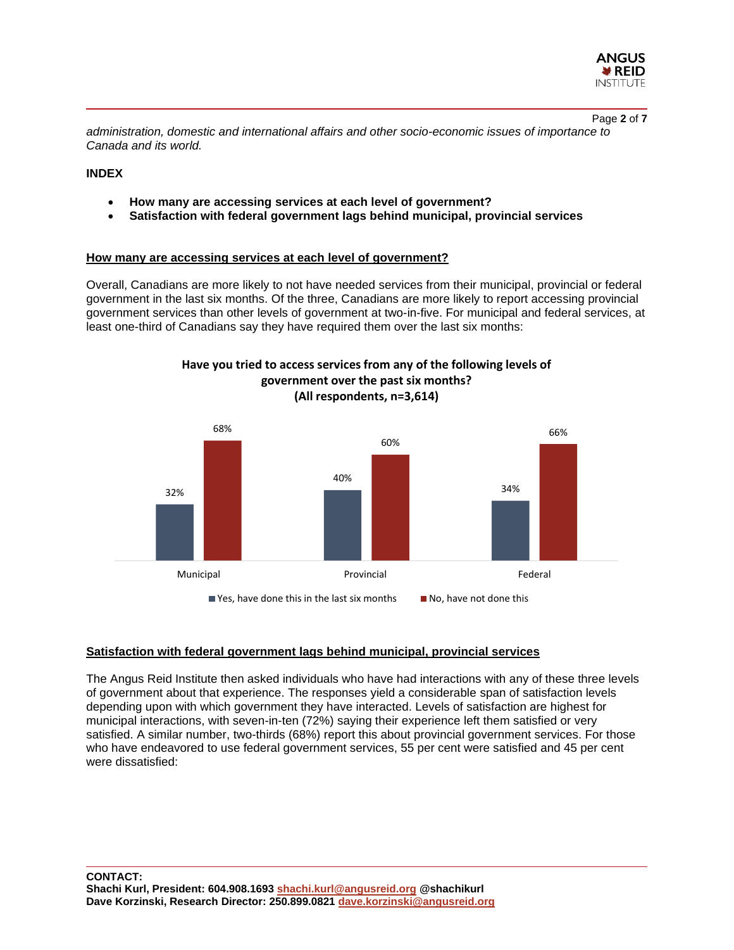

Page **2** of **7**

*administration, domestic and international affairs and other socio-economic issues of importance to Canada and its world.*

## **INDEX**

- **How many are accessing services at each level of government?**
- **Satisfaction with federal government lags behind municipal, provincial services**

#### **How many are accessing services at each level of government?**

Overall, Canadians are more likely to not have needed services from their municipal, provincial or federal government in the last six months. Of the three, Canadians are more likely to report accessing provincial government services than other levels of government at two-in-five. For municipal and federal services, at least one-third of Canadians say they have required them over the last six months:



**government over the past six months? (All respondents, n=3,614)**

**Have you tried to access services from any of the following levels of** 

# **Satisfaction with federal government lags behind municipal, provincial services**

The Angus Reid Institute then asked individuals who have had interactions with any of these three levels of government about that experience. The responses yield a considerable span of satisfaction levels depending upon with which government they have interacted. Levels of satisfaction are highest for municipal interactions, with seven-in-ten (72%) saying their experience left them satisfied or very satisfied. A similar number, two-thirds (68%) report this about provincial government services. For those who have endeavored to use federal government services, 55 per cent were satisfied and 45 per cent were dissatisfied: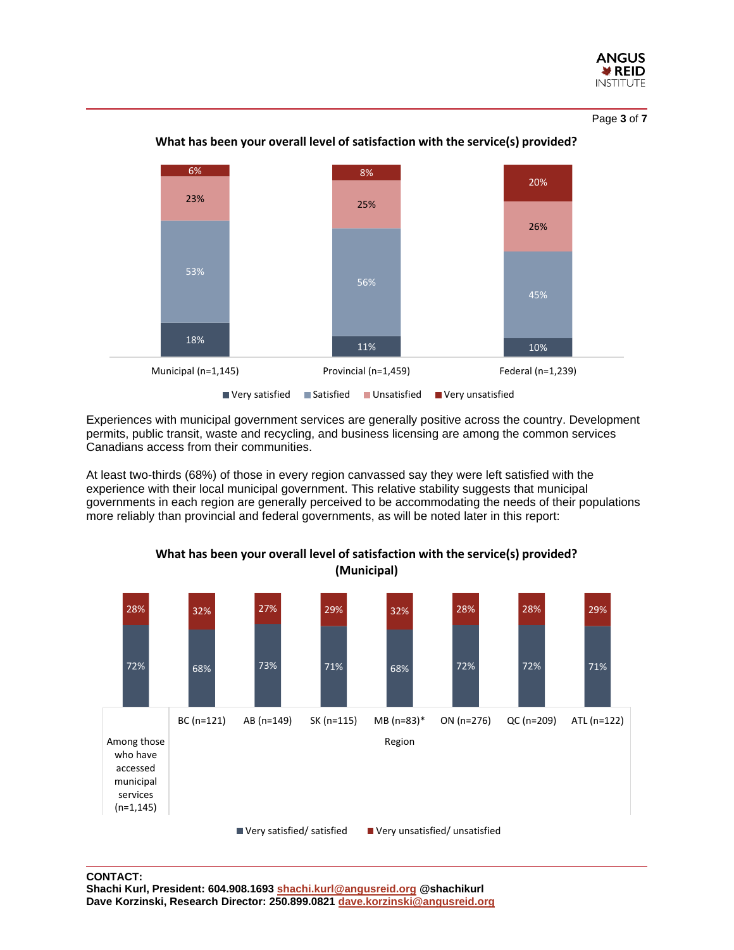

Page **3** of **7**



## **What has been your overall level of satisfaction with the service(s) provided?**

■ Very satisfied ■ Satisfied ■ Unsatisfied ■ Very unsatisfied

Experiences with municipal government services are generally positive across the country. Development permits, public transit, waste and recycling, and business licensing are among the common services Canadians access from their communities.

At least two-thirds (68%) of those in every region canvassed say they were left satisfied with the experience with their local municipal government. This relative stability suggests that municipal governments in each region are generally perceived to be accommodating the needs of their populations more reliably than provincial and federal governments, as will be noted later in this report:



**What has been your overall level of satisfaction with the service(s) provided? (Municipal)**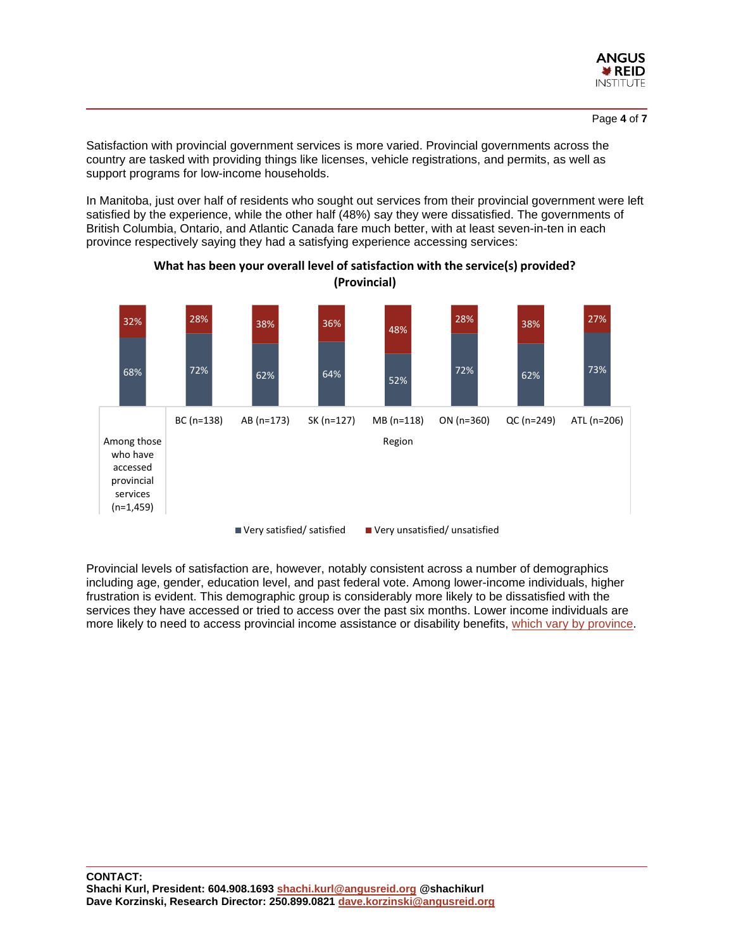

Satisfaction with provincial government services is more varied. Provincial governments across the country are tasked with providing things like licenses, vehicle registrations, and permits, as well as support programs for low-income households.

In Manitoba, just over half of residents who sought out services from their provincial government were left satisfied by the experience, while the other half (48%) say they were dissatisfied. The governments of British Columbia, Ontario, and Atlantic Canada fare much better, with at least seven-in-ten in each province respectively saying they had a satisfying experience accessing services:



**What has been your overall level of satisfaction with the service(s) provided? (Provincial)**

Provincial levels of satisfaction are, however, notably consistent across a number of demographics including age, gender, education level, and past federal vote. Among lower-income individuals, higher frustration is evident. This demographic group is considerably more likely to be dissatisfied with the services they have accessed or tried to access over the past six months. Lower income individuals are more likely to need to access provincial income assistance or disability benefits, [which vary by province.](https://maytree.com/wp-content/uploads/Social_Assistance_Summaries_All_Canada.pdf)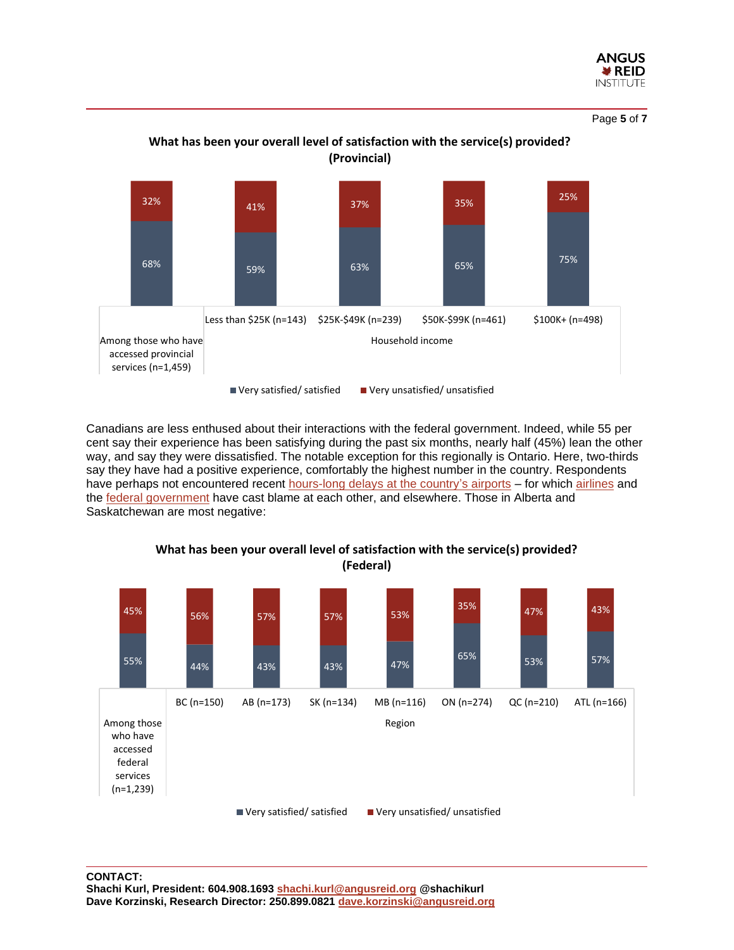

Page **5** of **7**



**What has been your overall level of satisfaction with the service(s) provided? (Provincial)**

Canadians are less enthused about their interactions with the federal government. Indeed, while 55 per cent say their experience has been satisfying during the past six months, nearly half (45%) lean the other way, and say they were dissatisfied. The notable exception for this regionally is Ontario. Here, two-thirds say they have had a positive experience, comfortably the highest number in the country. Respondents have perhaps not encountered recent [hours-long delays at the country's airports](https://www.theglobeandmail.com/canada/article-federal-government-is-working-on-new-measures-to-ease-delays-at/) – for which [airlines](https://www.ctvnews.ca/canada/how-delays-at-pearson-airport-got-so-bad-aviation-experts-weigh-in-1.5940198) and the [federal government](https://www.narcity.com/feds-say-travellers-are-partly-to-blame-for-huge-delays-at-canadas-airports) have cast blame at each other, and elsewhere. Those in Alberta and Saskatchewan are most negative:



**What has been your overall level of satisfaction with the service(s) provided? (Federal)**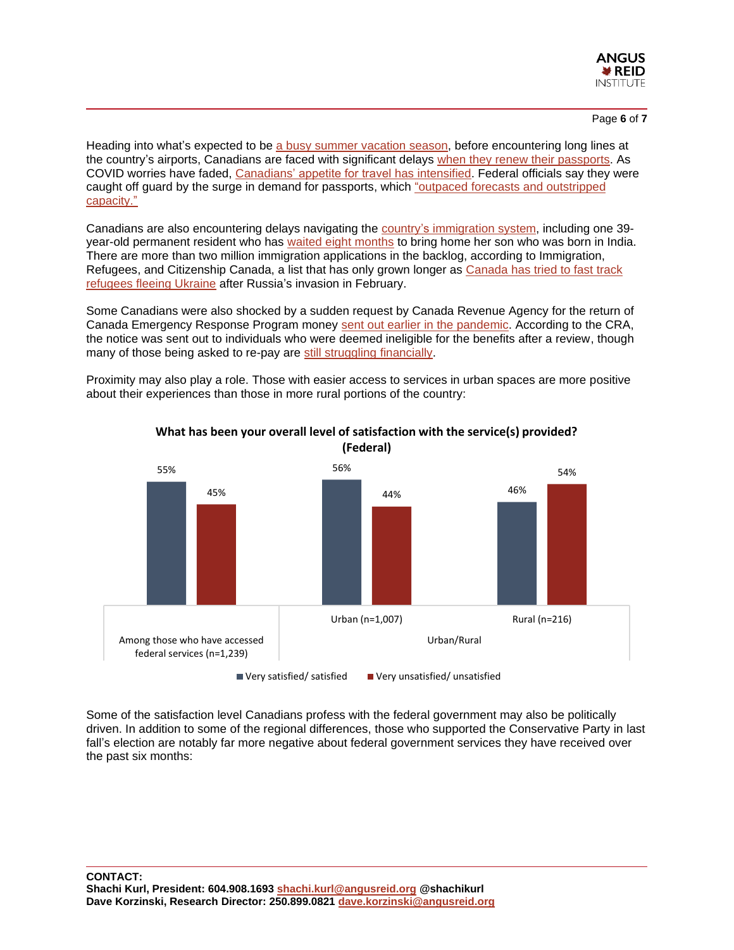

#### Page **6** of **7**

Heading into what's expected to be [a busy summer vacation season,](https://www.cp24.com/news/tourism-rebounding-across-canada-but-won-t-hit-2019-levels-until-2023-trade-group-1.5902010?cache=qtdjrvikpa%3FclipId%3D1930113) before encountering long lines at the country's airports, Canadians are faced with significant delays when they [renew their passports.](https://www.ctvnews.ca/canada/passport-backlog-has-some-worrying-about-ruined-summer-travel-plans-1.5939441) As COVID worries have faded, [Canadians' appetite for travel has intensified.](https://www.reuters.com/business/aerospace-defense/canadas-busiest-airport-battles-delays-ahead-summer-travel-2022-05-20/) Federal officials say they were caught off guard by the surge in demand for passports, which ["outpaced forecasts](https://www.ctvnews.ca/canada/passport-backlog-has-some-worrying-about-ruined-summer-travel-plans-1.5939441) and outstripped [capacity."](https://www.ctvnews.ca/canada/passport-backlog-has-some-worrying-about-ruined-summer-travel-plans-1.5939441)

Canadians are also encountering delays navigating the [country's immigration](https://globalnews.ca/news/8846285/canada-immigration-backlog-options/) system, including one 39 year-old permanent resident who has [waited eight months](https://www.cbc.ca/news/canada/toronto/canada-immigration-delays-permanent-resident-1.6481432) to bring home her son who was born in India. There are more than two million immigration applications in the backlog, according to Immigration, Refugees, and Citizenship Canada, a list that has only grown longer as [Canada has tried to fast](https://globalnews.ca/news/8701429/ukraine-canadian-visa-immigration-struggle/) track [refugees fleeing Ukraine](https://globalnews.ca/news/8701429/ukraine-canadian-visa-immigration-struggle/) after Russia's invasion in February.

Some Canadians were also shocked by a sudden request by Canada Revenue Agency for the return of Canada Emergency Response Program money [sent out earlier in the pandemic.](https://toronto.ctvnews.ca/did-you-receive-cerb-the-cra-may-want-their-money-back-soon-1.5928577) According to the CRA, the notice was sent out to individuals who were deemed ineligible for the benefits after a review, though many of those being asked to re-pay are [still struggling](https://toronto.ctvnews.ca/did-you-receive-cerb-the-cra-may-want-their-money-back-soon-1.5928577) financially.

Proximity may also play a role. Those with easier access to services in urban spaces are more positive about their experiences than those in more rural portions of the country:



# **What has been your overall level of satisfaction with the service(s) provided? (Federal)**

Some of the satisfaction level Canadians profess with the federal government may also be politically driven. In addition to some of the regional differences, those who supported the Conservative Party in last fall's election are notably far more negative about federal government services they have received over the past six months: